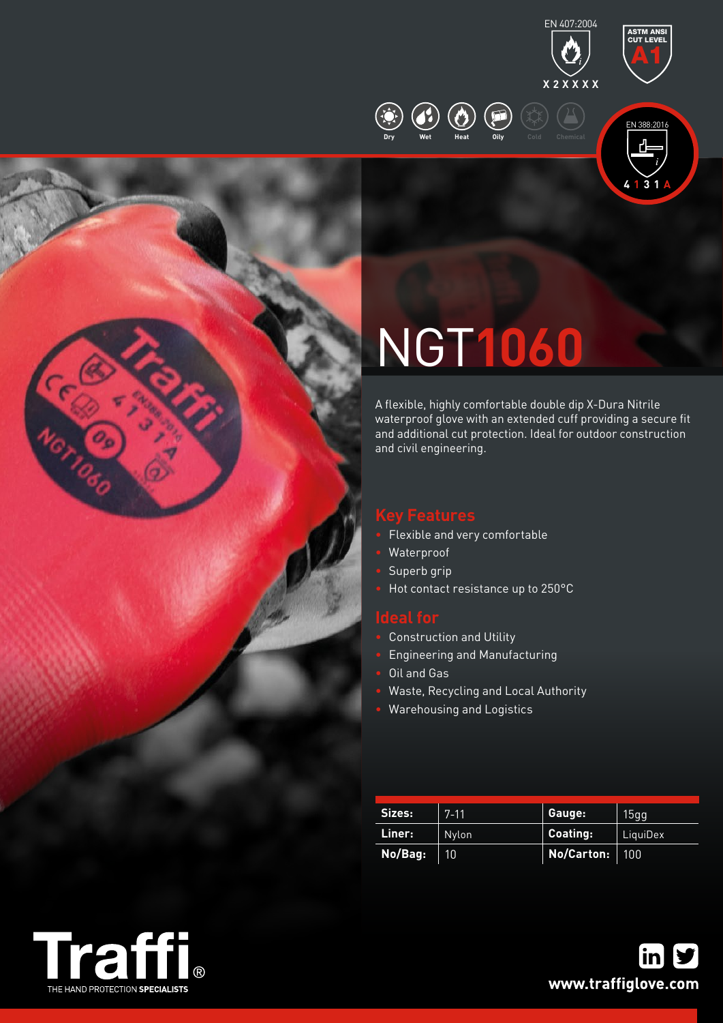



ASTM ANSI

**4 1 3 1 A**

# NGT**1060**

**Dry Wet Heat Oily Cold Chemical**

A flexible, highly comfortable double dip X-Dura Nitrile waterproof glove with an extended cuff providing a secure fit and additional cut protection. Ideal for outdoor construction and civil engineering.

- Flexible and very comfortable
- Waterproof
- Superb grip
- Hot contact resistance up to 250°C

- Construction and Utility
- Engineering and Manufacturing
- Oil and Gas
- Waste, Recycling and Local Authority
- Warehousing and Logistics

| Sizes:  | $7 - 11$ | Gauge:     | 15gg     |
|---------|----------|------------|----------|
| Liner:  | Nylon    | Coating:   | LiquiDex |
| No/Bag: | 10'      | No/Carton: | 100      |